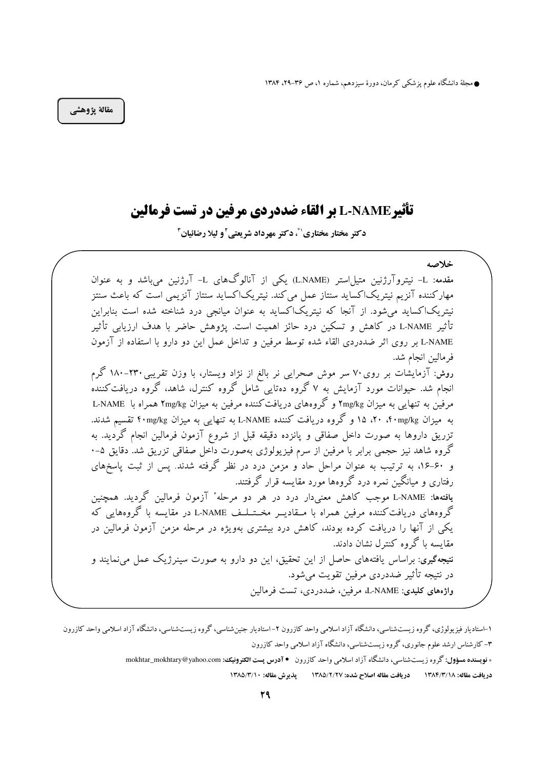● مجلهٔ دانشگاه علوم پزشکی کرمان، دورهٔ سیزدهم، شماره ۱، ص ۳۶–۲۹، ۱۳۸۴

مقالة يژوهشي

# تأثير L-NAME بر القاء ضددردي مرفين در تست فرمالين

دکتر مختار مختاری (\*، دکتر مهرداد شریعتی آو لیلا رضائیان "

خلاصه مقدمه: L- نیتروآرژنین متیل|ستر (L.NAME) یکی از آنالوگهای L- آرژنین میباشد و به عنوان مهارکننده آنزیم نیتریکاکساید سنتاز عمل می کند. نیتریکاکساید سنتاز آنزیمی است که باعث سنتز نیتریکاکساید میشود. از آنجا که نیتریکاکساید به عنوان میانجی درد شناخته شده است بنابراین تأثير L-NAME در كاهش و تسكين درد حائز اهميت است. يژوهش حاضر با هدف ارزيابي تأثير L-NAME بر روى اثر ضددردى القاء شده توسط مرفين و تداخل عمل اين دو دارو با استفاده از آزمون فر مالين انجام شد. روش: آزمایشات بر روی۷۰ سر موش صحرایی نر بالغ از نژاد ویستار، با وزن تقریبی۲۳۰-۱۸۰ گرم انجام شد. حیوانات مورد آزمایش به ۷ گروه دهتایی شامل گروه کنترل، شاهد، گروه دریافت کنندهٰ مرفین به تنهایی به میزان ۲mg/kg و گروههای دریافت کننده مرفین به میزان ۲mg/kg همراه با L-NAME به میزان ۲۰ (۴۰mg/kg، ۲۰، ۱۵ و گروه دریافت کننده L-NAME به تنهایی به میزان ۴۰mg/kg تقسیم شدند. تزریق داروها به صورت داخل صفاقی و پانزده دقیقه قبل از شروع آزمون فرمالین انجام گردید. به گروه شاهد نیز حجمی برابر با مرفین از سرم فیزیولوژی بهصورت داخل صفاقی تزریق شد. دقایق ۵–۰ و ۶۰-۱۶، به ترتیب به عنوان مراحل حاد و مزمن درد در نظر گرفته شدند. پس از ثبت پاسخهای رفتاری و میانگین نمره درد گروهها مورد مقایسه قرار گرفتند. یافتهها: L-NAME موجب کاهش معنیدار درد در هر دو مرحله ٔ آزمون فرمالین گردید. همچنین گروههای دریافتکننده مرفین همراه با مــقادیــر مخــتــلــف L-NAME در مقایسه با گروههایی که یکی از آنها را دریافت کرده بودند، کاهش درد بیشتری بهویژه در مرحله مزمن آزمون فرمالین در مقایسه با گروه کنترل نشان دادند. <mark>نتیجهگیری</mark>: براساس یافتههای حاصل از این تحقیق، این دو دارو به صورت سینرژیک عمل میiمایند و در نتيجه تأثير ضددردي مرفين تقويت مي شود. واژههای کلیدی: L-NAME، مرفین، ضددردی، تست فرمالین

۱-استادیار فیزیولوژی، گروه زیستشناسی، دانشگاه آزاد اسلامی واحد کازرون ۲-استادیار جنین شناسی، گروه زیستشناسی، دانشگاه آزاد اسلامی واحد کازرون ۳- کارشناس ارشد علوم جانوری، گروه زیستشناسی، دانشگاه آزاد اسلامی واحد کازرون

<sup>\*</sup> فویسنده مسؤول: گروه زیستشناسی، دانشگاه آزاد اسلامی واحد کازرون • آدرس پست الکترونیک: mokhtar\_mokhtary@yahoo.com

دريافت مقاله: ١٣٨٤/٣/١٨ دريافت مقاله اصلاح شده: ١٣٨٥/٢/٢٧ يذير ش مقاله: ١٣٨٥/٣/١٠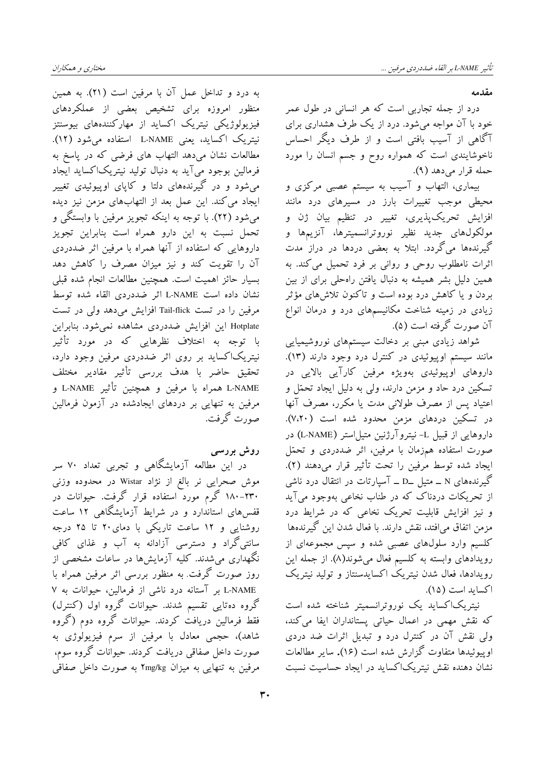به درد و تداخل عمل آن با مرفین است (٢١). به همین منظور امروزه برای تشخیص بعضی از عملکردهای .<br>فیزیولوژیکی نیتریک اکساید از مهارکنندههای بیوسنتز نيتريک اکسايد، يعني L-NAME استفاده مي شود (١٢). مطالعات نشان میدهد التهاب های فرضی که در پاسخ به فرمالین بوجود میآید به دنبال تولید نیتریک\کساید آیجاد می شود و در گیرندههای دلتا و کاپای اوپیوئیدی تغییر ایجاد می کند. این عمل بعد از التهابهای مزمن نیز دیده مي شود (٢٢). با توجه به اينكه تجويز مرفين با وابستگي و تحمل نسبت به این دارو همراه است بنابراین تجویز داروهایی که استفاده از آنها همراه با مرفین اثر ضددردی آن را تقویت کند و نیز میزان مصرف را کاهش دهد بسیار حائز اهمیت است. همچنین مطالعات انجام شده قبلی نشان داده است L-NAME اثر ضددردی القاء شده توسط مرفین را در تست Tail-flick افزایش میدهد ولی در تست Hotplate این افزایش ضددردی مشاهده نمی شود. بنابراین با توجه به اختلاف نظرهایی که در مورد تأثیر نیتریکاکساید بر روی اثر ضددردی مرفین وجود دارد، تحقیق حاضر با هدف بررسی تأثیر مقادیر مختلف L-NAME همراه با مرفین و همچنین تأثیر L-NAME و مرفین به تنهایی بر دردهای ایجادشده در آزمون فرمالین صورت گرفت.

روش بررسی

در این مطالعه آزمایشگاهی و تجربی تعداد ۷۰ سر موش صحرایی نر بالغ از نژاد Wistar در محدوده وزنی ۲۳۰–۱۸۰ گرم مورد استفاده قرار گرفت. حیوانات در قفسهای استاندارد و در شرایط آزمایشگاهی ۱۲ ساعت روشنایی و ۱۲ ساعت تاریکی با دمای۲۰ تا ۲۵ درجه سانتی گراد و دسترسی آزادانه به آب و غذای کافی نگهداری می شدند. کلیه آزمایشها در ساعات مشخصی از روز صورت گرفت. به منظور بررسی اثر مرفین همراه با L-NAME بر آستانه درد ناشی از فرمالین، حیوانات به ۷ گروه دهتایی تقسیم شدند. حیوانات گروه اول (کنترل) فقط فرمالین دریافت کردند. حیوانات گروه دوم (گروه شاهد)، حجمی معادل با مرفین از سرم فیزیولوژی به صورت داخل صفاقی دریافت کردند. حیوانات گروه سوم، مرفين به تنهايي به ميزان Ymg/kg به صورت داخل صفاقي

مقدمه

درد از جمله تجاربی است که هر انسانی در طول عمر خود با آن مواجه می شود. درد از یک طرف هشداری برای آگاهی از آسیب بافتی است و از طرف دیگر احساس ناخوشایندی است که همواره روح و جسم انسان را مورد حمله قرار مي دهد (٩).

بیماری، التهاب و آسیب به سیستم عصبی مرکزی و محیطی موجب تغییرات بارز در مسیرهای درد مانند افزایش تحریک پذیری، تغییر در تنظیم بیان ژن و مولکولهای جدید نظیر نوروترانسمیترها، آنزیمها و گیرندهها میگردد. ابتلا به بعضی دردها در دراز مدت اثرات نامطلوب روحی و روانی بر فرد تحمیل می کند. به همین دلیل بشر همیشه به دنبال یافتن راهحلی برای از بین بردن و یا کاهش درد بوده است و تاکنون تلاشهای مؤثر زیادی در زمینه شناخت مکانیسمهای درد و درمان انواع آن صورت گرفته است (۵).

شواهد زیادی مبنی بر دخالت سیستمهای نوروشیمیایی مانند سیستم اوییوئیدی در کنترل درد وجود دارند (۱۳). داروهای اویپوئیدی بهویژه مرفین کارآیی بالایی در تسکین درد حاد و مزمن دارند، ولی به دلیل ایجاد تحمّل و اعتياد يس از مصرف طولاني مدت يا مكرر، مصرف آنها در تسکین دردهای مزمن محدود شده است (۷،۲۰). داروهایی از قبیل L- نیتروآرژنین متیل|ستر (L-NAME) در صورت استفاده همزمان با مرفین، اثر ضددردی و تحمّل ايجاد شده توسط مرفين را تحت تأثير قرار مى دهند (٢). گیرندههای N ــ متیل ـD ــ آسیارتات در انتقال درد ناشی از تحریکات دردناک که در طناب نخاعی بهوجود می آید و نیز افزایش قابلیت تحریک نخاعی که در شرایط درد مزمن اتفاق می|فتد، نقش دارند. با فعال شدن این گیرندهها کلسیم وارد سلولهای عصبی شده و سپس مجموعهای از رویدادهای وابسته به کلسیم فعال میشوند(۸). از جمله این رویدادها، فعال شدن نیتریک اکسایدسنتاز و تولید نیتریک اكسايد است (١۵).

نیتریکاکساید یک نوروترانسمیتر شناخته شده است که نقش مهمی در اعمال حیاتی پستانداران ایفا می کند، ولی نقش آن در کنترل درد و تبدیل اثرات ضد دردی اوييوئيدها متفاوت گزارش شده است (١۶). ساير مطالعات نشان دهنده نقش نیتریک|کساید در ایجاد حساسیت نسبت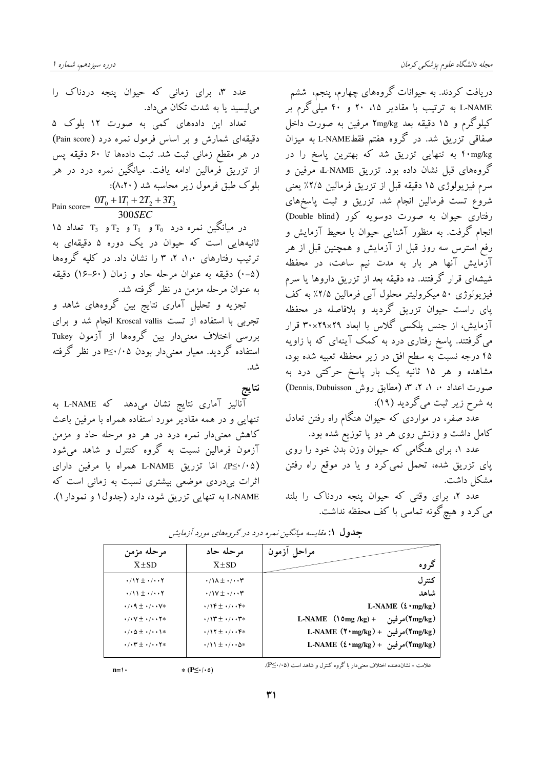عدد ۳، برای زمانی که حیوان پنجه دردناک را می لیسید یا به شدت تکان میداد. تعداد این دادههای کمی به صورت ۱۲ بلوک ۵ دقیقهای شمارش و بر اساس فرمول نمره درد (Pain score) در هر مقطع زمانی ثبت شد. ثبت دادهها تا ۶۰ دقیقه پس از تزریق فرمالین ادامه یافت. میانگین نمره درد در هر بلوک طبق فرمول زیر محاسبه شد (۸،۲۰): Pain score=  $\frac{0T_0 + 1T_1 + 2T_2 + 3T_3}{300SEC}$ ۱۵ میانگین نمره درد  $T_0$  و  $T_1$  و  $T_2$  و  $T_3$  تعداد ۱۵ .<br>ثانیههایی است که حیوان در یک دوره ۵ دقیقهای به ترتیب رفتارهای ۱،۰، ۲، ۳ را نشان داد. در کلیه گروهها (۵-۰) دقیقه به عنوان مرحله حاد و زمان (۶۰-۱۶) دقیقه

به عنوان مرحله مزمن در نظر گرفته شد. تجزیه و تحلیل آماری نتایج بین گروههای شاهد و تجربی با استفاده از تست Kroscal vallis انجام شد و برای بررسی اختلاف معنی،دار بین گروهها از آزمون Tukey استفاده گر دید. معیار معنی دار بودن P≤۰/۰۵ در نظر گرفته شد.

نتايج

آنالیز آماری نتایج نشان میٖدهد که L-NAME به تنهایی و در همه مقادیر مورد استفاده همراه با مرفین باعث کاهش معنیدار نمره درد در هر دو مرحله حاد و مزمن آزمون فرمالین نسبت به گروه کنترل و شاهد میشود (P≤·/·۵). امّا تزریق L-NAME همراه با مرفین دارای اثرات بی،دردی موضعی بیشتری نسبت به زمانی است که L-NAME به تنهایی تزریق شود، دارد (جدول ۱ و نمودار ۱).

دریافت کردند. به حیوانات گروههای چهارم، پنجم، ششم L-NAME به ترتیب با مقادیر ۱۵، ۲۰ و ۴۰ میلیگرم بر کیلوگرم و ۱۵ دقیقه بعد ۲mg/kg مرفین به صورت داخل صفاقی تزریق شد. در گروه هفتم فقطE-NAME به میزان f۰mg/kg به تنهایی تزریق شد که بهترین یاسخ را در گروههای قبل نشان داده بود. تزریق L-NAME مرفین و سرم فيزيولوژي ١٥ دقيقه قبل از تزريق فرمالين ٢/٥٪ يعني شروع تست فرمالین انجام شد. تزریق و ثبت پاسخهای رفتاری حیوان به صورت دوسویه کور (Double blind) انجام گرفت. به منظور آشنایی حیوان با محیط آزمایش و رفع استرس سه روز قبل از آزمایش و همچنین قبل از هر آزمایش آنها هر بار به مدت نیم ساعت، در محفظه شیشهای قرار گرفتند. ده دقیقه بعد از تزریق داروها یا سرم فیزیولوژی ۵۰ میکرولیتر محلول آبی فرمالین ۲/۵٪ به کف یای راست حیوان تزریق گردید و بلافاصله در محفظه آزمایش، از جنس پلکسی گلاس با ابعاد ۲۹×۲۹×۳۰ قرار می گرفتند. پاسخ رفتاری درد به کمک آینهای که با زاویه ۴۵ درجه نسبتٌ به سطح افق در زیر محفظه تعبیه شده بود، مشاهده و هر ۱۵ ثانیه یک بار پاسخ حرکتبی درد به صورت اعداد ۰، ۱، ۲، ۳، (مطابق روش Dennis, Dubuisson) به شرح زیر ثبت میگردید (۱۹):

۔<br>عدد صفر، در مواردی که حیوان هنگام راه رفتن تعادل کامل داشت و وزنش روی هر دو پا توزیع شده بود.

عدد ۱، برای هنگامی که حیوان وزن بدن خود را روی یای تزریق شده، تحمل نمی کرد و یا در موقع راه رفتن مشكل داشت.

عدد ۲، برای وقتی که حیوان پنجه دردناک را بلند می کرد و هیچ گونه تماسی با کف محفظه نداشت.

| مرحله مزمن                                             | مر حله حاد                                           | مراحل ازمون                                   |
|--------------------------------------------------------|------------------------------------------------------|-----------------------------------------------|
| $X \pm SD$                                             | $\overline{X}$ ± SD                                  | گر وه                                         |
| $\cdot$ /17 $\pm$ $\cdot$ / $\cdot$ $\cdot$ $\cdot$    | $\cdot$ / $\wedge$ $\pm$ $\cdot$ / $\cdot$ $\cdot$ ۳ | كنتر ل                                        |
| $\cdot$ /11 $\pm$ $\cdot$ / $\cdot$ $\cdot$ $\cdot$    | $\cdot$ /\V $\pm$ $\cdot$ / $\cdot$ . $\tau$         | شاهد                                          |
| $\cdot$ / $\cdot$ 9 $\pm$ $\cdot$ / $\cdot$ $\cdot$ V* | $\cdot$ /1F $\pm$ $\cdot$ / $\cdot$ . F*             | L-NAME $(\xi \cdot mg/kg)$                    |
| $\cdot$ / $\cdot$ V $\pm$ $\cdot$ / $\cdot$ $\cdot$ Y* | $\cdot$ /\\rthttps:// $\cdot$ rt $\cdot$             | L-NAME $(\text{0 mg/kg}) +$ مرفين + (10mg/kg) |
| $\cdot$ / $\Delta$ $\pm$ $\cdot$ / $\cdot$ $\cdot$ \*  | $\cdot$ /17 $\pm$ $\cdot$ / $\cdot$ . F*             | (۲mg/kg)مرفين + (۲۰mg/kg)H-NAME               |
| $\cdot$ / $\cdot$ ۳ $\pm$ $\cdot$ / $\cdot$ $\cdot$ ۲* | $\cdot$ /11 $\pm$ $\cdot$ / $\cdot$ $\Delta$ *       | (۲mg/kg)مرفين + (L-NAME (٤٠mg/kg)             |

جدول ۱: *مقایسه میانگین ن*مره درد در گروههای مورد آزمایش

علامت ٭ نشاندهنده اختلاف معنىدار با گروه كنترل و شاهد است (۰،۵٪-P).

 $n=1$ 

 $*(P \leq \cdot / \cdot \circ)$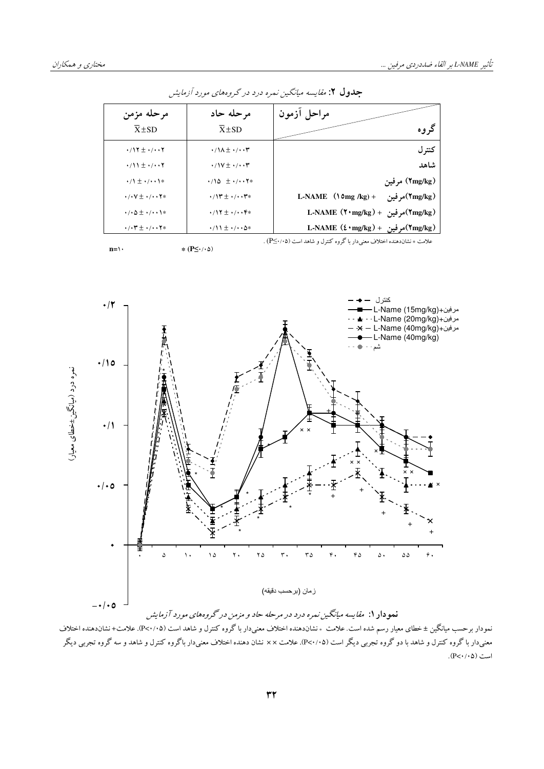| مراحل ازمون                                   | مرحله حاد                                                           | مرحله مزمن                                                        |  |  |
|-----------------------------------------------|---------------------------------------------------------------------|-------------------------------------------------------------------|--|--|
| گروه                                          | $\overline{X}$ ±SD                                                  | $\overline{X}$ ± SD                                               |  |  |
| كنتر ل                                        | $\cdot$ /\ $\lambda$ $\pm$ $\cdot$ / $\cdot$ $\cdot$ ۳              | $\cdot$ /17 $\pm$ $\cdot$ / $\cdot$ $\cdot$ $\cdot$               |  |  |
| شاهد                                          | $\cdot$ /\V $\pm$ $\cdot$ / $\cdot$ . $\tau$                        | $\cdot$ /11 $\pm$ $\cdot$ / $\cdot$ $\cdot$ $\cdot$               |  |  |
| (Tmg/kg) مرفين                                | $\cdot$ /10 $\pm$ $\cdot$ / $\cdot$ $\cdot$ $\cdot$ $\cdot$ $\cdot$ | $\cdot/1 \pm \cdot/ \cdot \cdot 1$ *                              |  |  |
| L-NAME $(\text{0 mg/kg}) +$<br>(Tmg/kg)مر فين | $\cdot$ /\\rthereform $\cdot$ / $\cdot$ . $\cdot$ $\cdot$ $\cdot$   | $\cdot$ / $\cdot$ V $\pm$ $\cdot$ / $\cdot$ $\cdot$ Y*            |  |  |
| (۲mg/kg)مرفين + (۲۰mg/kg)H-NAME               | $\cdot$ /17 $\pm$ $\cdot$ / $\cdot$ $\cdot$ F*                      | $\cdot$ / $\circ$ $\pm$ $\cdot$ / $\cdot$ $\cdot$ $\cdot$ $\cdot$ |  |  |
| (Tmg/kg)مرفين + L-NAME (٤٠mg/kg)              | $\cdot$ /11 $\pm$ $\cdot$ / $\cdot$ $\Delta$ *                      | $\cdot$ / $\cdot$ ۳ $\pm$ $\cdot$ / $\cdot$ $\cdot$ ۲*            |  |  |
|                                               |                                                                     |                                                                   |  |  |

جدول ۲: مقایسه میانگین نمره درد در گروههای مورد آزمایش



نمودار برحسب میانگین ± خطای معیار رسم شده است. علامت \* نشاندهنده اختلاف معنیدار با گروه کنترل و شاهد است (۲۰/۰۵). علامت+ نشاندهنده اختلاف معنیدار با گروه کنترل و شاهد با دو گروه تجربی دیگر است (P<۰/۰۵). علامت ×× نشان دهنده اختلاف معنیدار باگروه کنترل و شاهد و سه گروه تجربی دیگر  $(P<\cdot/\cdot \Delta)$  است

**n**= $\langle \cdot \rangle$  **\*** (P $\leq \cdot \langle \cdot \rangle$ )

علامت ∗ نشاندهنده اختلاف معنىدار با گروه كنترل و شاهد است (۱۰۵<+P⊆) .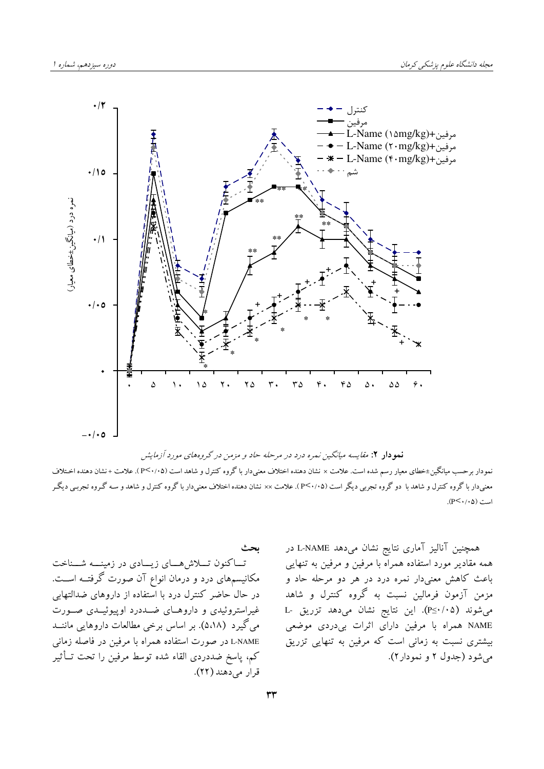

<mark>نمو دار ۲: مقا</mark>یسه میانگین نمره درد در مرحله حاد و مزمن در گروههای مورد آزمایش

نمودار برحسب میانگین±خطای معیار رسم شده است. علامت × نشان دهنده اختلاف معنیدار با گروه کنترل و شاهد است (P<۰/۰۵). علامت +نشان دهنده اخـتلاف معنیدار با گروه کنترل و شاهد با دو گروه تجربی دیگر است (P<۰/۰۵). علامت ×× نشان دهنده اختلاف معنیدار با گروه کنترل و شاهد و سه گـروه تجربـی دیگـر است (P ≺ ۰/۰۵).

ىحث تـاکنون تــلاش هــاي زيــادي در زمينـــه شــناخت مکانیسمهای درد و درمان انواع آن صورت گرفتــه اســت. در حال حاضر کنترل درد با استفاده از داروهای ضدالتهابی غیراستروئیدی و داروهای ضددرد اوییوئیـدی صـورت می گیرد (۵٬۱۸). بر اساس برخی مطالعات داروهایی ماننــد L-NAME در صورت استفاده همراه با مرفین در فاصله زمانی كم، ياسخ ضددردي القاء شده توسط مرفين را تحت تــأثير قرار می دهند (٢٢). همچنین آنالیز آماری نتایج نشان میدهد L-NAME در همه مقادیر مورد استفاده همراه با مرفین و مرفین به تنهایی باعث کاهش معنیدار نمره درد در هر دو مرحله حاد و مزمن آزمون فرمالین نسبت به گروه کنترل و شاهد میشوند (P≤·/·۵). این نتایج نشان میدهد تزریق -L NAME همراه با مرفین دارای اثرات بیدردی موضعی بیشتری نسبت به زمانی است که مرفین به تنهایی تزریق مي شود (جدول ٢ و نمودار٢).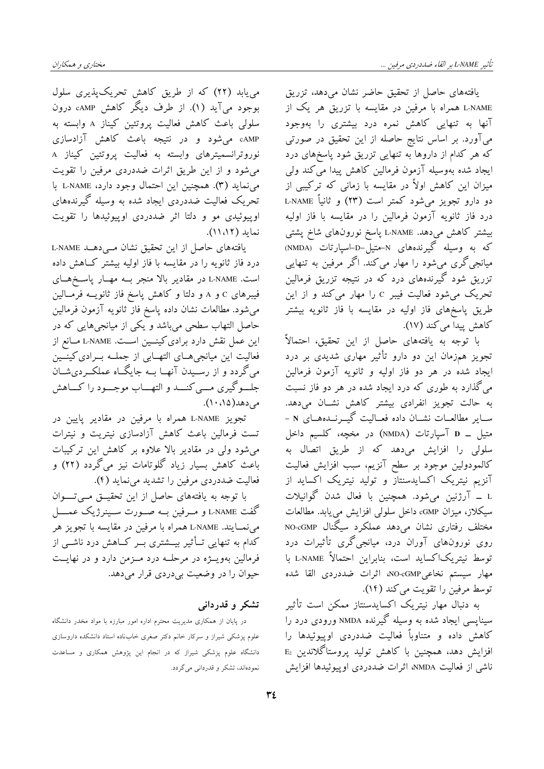می یابد (۲۲) که از طریق کاهش تحریکپذیری سلول بوجود می آید (۱). از طرف دیگر کاهش cAMP درون

مختاري و همكاران

سلولي باعث كاهش فعاليت يروتئين كيناز A وابسته به cAMP می شود و در نتیجه باعث کاهش آزادسازی نوروترانسمیترهای وابسته به فعالیت پروتئین کیناز A می شود و از این طریق اثرات ضددردی مرفین را تقویت مي نمايد (٣). همچنين اين احتمال وجود دارد، L-NAME با تحریک فعالیت ضددردی ایجاد شده به وسیله گیرندههای اوپیوئیدی مو و دلتا اثر ضددردی اوپیوئیدها را تقویت نماید (۱۱،۱۲).

یافتههای حاصل از این تحقیق نشان مےدهد L-NAME درد فاز ثانویه را در مقایسه با فاز اولیه بیشتر کاهش داده است. L-NAME در مقادیر بالا منجر بـه مهـار پاسـخهـای فیبرهای c و A و دلتا و کاهش پاسخ فاز ثانویــه فرمــالین می شود. مطالعات نشان داده پاسخ فاز ثانویه آزمون فرمالین حاصل التهاب سطحی میباشد و یکی از میانجیهایی که در این عمل نقش دارد برادی کینــین اسـت. L-NAME مــانع از فعالیت این میانجیهــای التهــابی از جملــه بــرادی کینــین میگردد و از رسـیدن آنهــا بــه جایگــاه عملکــردیشــان جلسوگیری مسی کنسد و التهساب موجسود را کساهش می دهد(۱، ۱۰).

تجویز L-NAME همراه با مرفین در مقادیر پایین در تست فرمالین باعث كاهش آزادسازی نیتریت و نیترات می شود ولی در مقادیر بالا علاوه بر کاهش این ترکیبات باعث کاهش بسیار زیاد گلوتامات نیز میگردد (۲۲) و فعالیت ضددردی مرفین را تشدید می نماید (۴).

با توجه به یافتههای حاصل از این تحقیــق مــیتــــوان گفت L-NAME و مــرفين بــه صــورت ســينرژيک عمــــل مي نمــايند. L-NAME همراه با مرفين در مقايسه با تجويز هر کدام به تنهایی تــأثیر بیـــشتری بــر کــاهش درد ناشــی از فرمالین بهویــژه در مرحلــه درد مــزمن دارد و در نهایــت حيوان را در وضعيت بي دردي قرار مي دهد.

# تشکر و قدردانی

در پایان از همکاری مدیریت محترم اداره امور مبارزه با مواد مخدر دانشگاه علوم پزشکی شیراز و سرکار خانم دکتر صغری خابناده استاد دانشکده داروسازی .<br>دانشگاه علوم پزشکی شیراز که در انجام این پژوهش همکاری و مساعدت نمودهاند، تشکر و قدردانی میگردد.

یافتههای حاصل از تحقیق حاضر نشان میدهد، تزریق L-NAME همراه با مرفین در مقایسه با تزریق هر یک از آنها به تنهایی کاهش نمره درد بیشتری را بهوجود می آورد. بر اساس نتایج حاصله از این تحقیق در صورتی که هر کدام از داروها به تنهایی تزریق شود پاسخهای درد ايجاد شده بەوسيلە آزمون فرمالين كاهش ييدا مى كند ولى میزان این کاهش اولاً در مقایسه با زمانی که ترکیبی از دو دارو تجویز میشود کمتر است (۲۳) و ثانیاً L-NAME درد فاز ثانویه آزمون فرمالین را در مقایسه با فاز اولیه بیشتر کاهش میدهد. L-NAME یاسخ نورونهای شاخ پشتی که به وسیله گیرندههای N-متیل-D-اسپارتات (NMDA) میانجی گری می شود را مهار می کند. اگر مرفین به تنهایی تزریق شود گیرندههای درد که در نتیجه تزریق فرمالین تحریک می شود فعالیت فیبر c را مهار می کند و از این طریق پاسخهای فاز اولیه در مقایسه با فاز ثانویه بیشتر كاهش پيدا مي كند (١٧).

با توجه به یافتههای حاصل از این تحقیق، احتمالاً تجویز همزمان این دو دارو تأثیر مهاری شدیدی بر درد ایجاد شده در هر دو فاز اولیه و ثانویه آزمون فرمالین می گذارد به طوری که درد ایجاد شده در هر دو فاز نسبت به حالت تجویز انفرادی بیشتر کاهش نشـان میدهد. ســاير مطالعــات نشــان داده فعــاليت گيـــرنــدههــاى N -متيل \_ D آسيارتات (NMDA) در مخچه، كلسيم داخل سلولی را افزایش میدهد که از طریق اتصال به كالمودولين موجود بر سطح آنزيم، سبب افزايش فعاليت آنزیم نیتریک اکسایدسنتاز و تولید نیتریک اکساید از L \_ آرژنین میشود. همچنین با فعال شدن گوانیلات سیکلاز، میزان cGMP داخل سلولی افزایش می یابد. مطالعات مختلف رفتاری نشان میدهد عملکرد سیگنال NO-cGMP روی نورونهای آوران درد، میانجیگری تأثیرات درد توسط نيتريكاكسايد است، بنابراين احتمالاً L-NAME با مهار سيستم نخاعيMO-cGMP، اثرات ضددردي القا شده توسط مرفين را تقويت مي كند (١٢).

به دنبال مهار نیتریک اکسایدسنتاز ممکن است تأثیر سینایسی ایجاد شده به وسیله گیرنده NMDA ورودی درد را کاهش داده و متناوباً فعالیت ضددردی اوییوئیدها را  $E_2$  افزایش دهد، همچنین با کاهش تولید پروستاگلاندین ناشی از فعالیت NMDA، اثرات ضددردی اوییوئیدها افزایش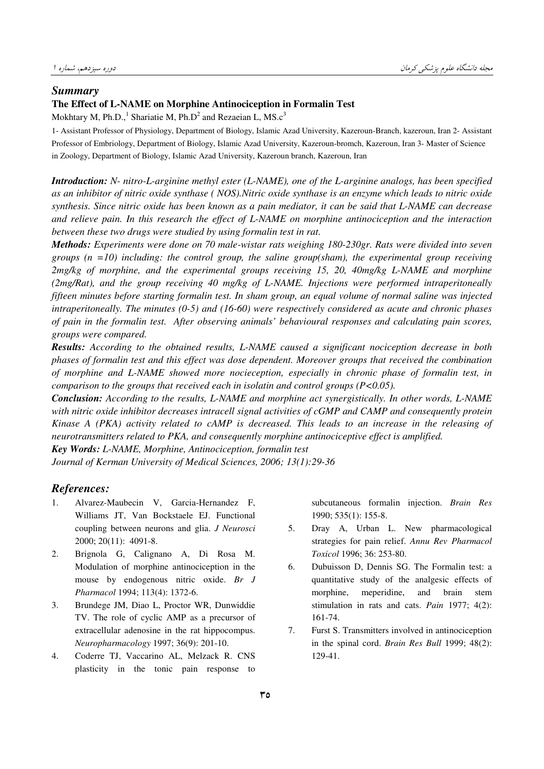#### *Summary*

## **The Effect of L-NAME on Morphine Antinociception in Formalin Test**

Mokhtary M, Ph.D.,<sup>1</sup> Shariatie M, Ph.D<sup>2</sup> and Rezaeian L, MS. $c<sup>3</sup>$ 

1- Assistant Professor of Physiology, Department of Biology, Islamic Azad University, Kazeroun-Branch, kazeroun, Iran 2- Assistant Professor of Embriology, Department of Biology, Islamic Azad University, Kazeroun-bromch, Kazeroun, Iran 3- Master of Science in Zoology, Department of Biology, Islamic Azad University, Kazeroun branch, Kazeroun, Iran

*Introduction: N- nitro-L-arginine methyl ester (L-NAME), one of the L-arginine analogs, has been specified as an inhibitor of nitric oxide synthase ( NOS).Nitric oxide synthase is an enzyme which leads to nitric oxide synthesis. Since nitric oxide has been known as a pain mediator, it can be said that L-NAME can decrease and relieve pain. In this research the effect of L-NAME on morphine antinociception and the interaction between these two drugs were studied by using formalin test in rat.* 

*Methods: Experiments were done on 70 male-wistar rats weighing 180-230gr. Rats were divided into seven groups (n =10) including: the control group, the saline group(sham), the experimental group receiving 2mg/kg of morphine, and the experimental groups receiving 15, 20, 40mg/kg L-NAME and morphine (2mg/Rat), and the group receiving 40 mg/kg of L-NAME. Injections were performed intraperitoneally fifteen minutes before starting formalin test. In sham group, an equal volume of normal saline was injected intraperitoneally. The minutes (0-5) and (16-60) were respectively considered as acute and chronic phases of pain in the formalin test. After observing animals' behavioural responses and calculating pain scores, groups were compared.* 

*Results: According to the obtained results, L-NAME caused a significant nociception decrease in both phases of formalin test and this effect was dose dependent. Moreover groups that received the combination of morphine and L-NAME showed more nocieception, especially in chronic phase of formalin test, in comparison to the groups that received each in isolatin and control groups (P<0.05).* 

*Conclusion: According to the results, L-NAME and morphine act synergistically. In other words, L-NAME with nitric oxide inhibitor decreases intracell signal activities of cGMP and CAMP and consequently protein Kinase A (PKA) activity related to cAMP is decreased. This leads to an increase in the releasing of neurotransmitters related to PKA, and consequently morphine antinociceptive effect is amplified.* 

*Key Words: L-NAME, Morphine, Antinociception, formalin test* 

*Journal of Kerman University of Medical Sciences, 2006; 13(1):29-36* 

## *References:*

- 1. Alvarez-Maubecin V, Garcia-Hernandez F, Williams JT, Van Bockstaele EJ. Functional coupling between neurons and glia. *J Neurosci* 2000; 20(11): 4091-8.
- 2. Brignola G, Calignano A, Di Rosa M. Modulation of morphine antinociception in the mouse by endogenous nitric oxide. *Br J Pharmacol* 1994; 113(4): 1372-6.
- 3. Brundege JM, Diao L, Proctor WR, Dunwiddie TV. The role of cyclic AMP as a precursor of extracellular adenosine in the rat hippocompus. *Neuropharmacology* 1997; 36(9): 201-10.
- 4. Coderre TJ, Vaccarino AL, Melzack R. CNS plasticity in the tonic pain response to

subcutaneous formalin injection. *Brain Res* 1990; 535(1): 155-8.

- 5. Dray A, Urban L. New pharmacological strategies for pain relief. *Annu Rev Pharmacol Toxicol* 1996; 36: 253-80.
- 6. Dubuisson D, Dennis SG. The Formalin test: a quantitative study of the analgesic effects of morphine, meperidine, and brain stem stimulation in rats and cats. *Pain* 1977; 4(2): 161-74.
- 7. Furst S. Transmitters involved in antinociception in the spinal cord. *Brain Res Bull* 1999; 48(2): 129-41.